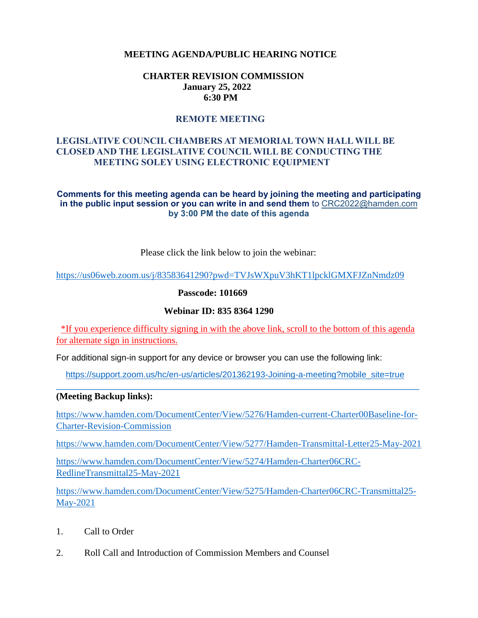### **MEETING AGENDA/PUBLIC HEARING NOTICE**

### **CHARTER REVISION COMMISSION January 25, 2022 6:30 PM**

### **REMOTE MEETING**

### **LEGISLATIVE COUNCIL CHAMBERS AT MEMORIAL TOWN HALL WILL BE CLOSED AND THE LEGISLATIVE COUNCIL WILL BE CONDUCTING THE MEETING SOLEY USING ELECTRONIC EQUIPMENT**

#### **Comments for this meeting agenda can be heard by joining the meeting and participating in the public input session or you can write in and send them** to CRC2022@hamden.com **by 3:00 PM the date of this agenda**

Please click the link below to join the webinar:

<https://us06web.zoom.us/j/83583641290?pwd=TVJsWXpuV3hKT1lpcklGMXFJZnNmdz09>

**Passcode: 101669**

#### **Webinar ID: 835 8364 1290**

\*If you experience difficulty signing in with the above link, scroll to the bottom of this agenda for alternate sign in instructions.

For additional sign-in support for any device or browser you can use the following link:

 [https://support.zoom.us/hc/en-us/articles/201362193-Joining-a-meeting?mobile\\_site=true](https://support.zoom.us/hc/en-us/articles/201362193-Joining-a-meeting?mobile_site=true)  $\_$  , and the set of the set of the set of the set of the set of the set of the set of the set of the set of the set of the set of the set of the set of the set of the set of the set of the set of the set of the set of th

### **(Meeting Backup links):**

[https://www.hamden.com/DocumentCenter/View/5276/Hamden-current-Charter00Baseline-for-](https://www.hamden.com/DocumentCenter/View/5276/Hamden-current-Charter00Baseline-for-Charter-Revision-Commission)[Charter-Revision-Commission](https://www.hamden.com/DocumentCenter/View/5276/Hamden-current-Charter00Baseline-for-Charter-Revision-Commission)

<https://www.hamden.com/DocumentCenter/View/5277/Hamden-Transmittal-Letter25-May-2021>

[https://www.hamden.com/DocumentCenter/View/5274/Hamden-Charter06CRC-](https://www.hamden.com/DocumentCenter/View/5274/Hamden-Charter06CRC-RedlineTransmittal25-May-2021)[RedlineTransmittal25-May-2021](https://www.hamden.com/DocumentCenter/View/5274/Hamden-Charter06CRC-RedlineTransmittal25-May-2021)

[https://www.hamden.com/DocumentCenter/View/5275/Hamden-Charter06CRC-Transmittal25-](https://www.hamden.com/DocumentCenter/View/5275/Hamden-Charter06CRC-Transmittal25-May-2021) [May-2021](https://www.hamden.com/DocumentCenter/View/5275/Hamden-Charter06CRC-Transmittal25-May-2021)

- 1. Call to Order
- 2. Roll Call and Introduction of Commission Members and Counsel